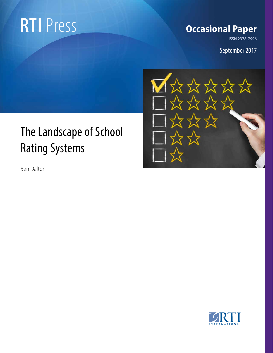## **RTI** Press

#### **Occasional Paper**

**ISSN 2378-7996**

September 2017

# 区众众众众众 **XXXXXX** 7.7

### The Landscape of School Rating Systems

Ben Dalton

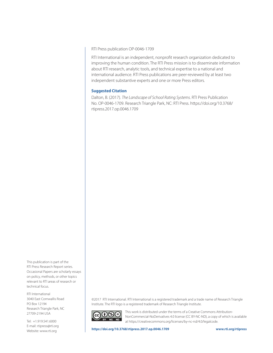RTI Press publication OP-0046-1709

RTI International is an independent, nonprofit research organization dedicated to improving the human condition. The RTI Press mission is to disseminate information about RTI research, analytic tools, and technical expertise to a national and international audience. RTI Press publications are peer-reviewed by at least two independent substantive experts and one or more Press editors.

#### **Suggested Citation**

Dalton, B. (2017). *The Landscape of School Rating Systems*. RTI Press Publication No. OP-0046-1709. Research Triangle Park, NC: RTI Press. https://doi.org/10.3768/ rtipress.2017.op.0046.1709

This publication is part of the RTI Press Research Report series. Occasional Papers are scholarly essays on policy, methods, or other topics relevant to RTI areas of research or technical focus.

RTI International 3040 East Cornwallis Road PO Box 12194 Research Triangle Park, NC 27709-2194 USA

Tel: +1.919.541.6000 E-mail: rtipress@rti.org Website: www.rti.org

©2017 RTI International. RTI International is a registered trademark and a trade name of Research Triangle Institute. The RTI logo is a registered trademark of Research Triangle Institute.



This work is distributed under the terms of a Creative Commons Attribution-NonCommercial-NoDerivatives 4.0 license (CC BY-NC-ND), a copy of which is available at https://creativecommons.org/licenses/by-nc-nd/4.0/legalcode.

**https://doi.org/10.3768/rtipress.2017.op.0046.1709 www.rti.org/rtipress**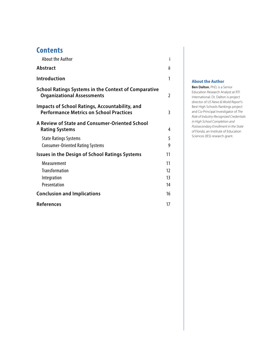#### **Contents**

| <b>About the Author</b>                                                                          | i              |
|--------------------------------------------------------------------------------------------------|----------------|
| <b>Abstract</b>                                                                                  | ii             |
| Introduction                                                                                     | 1              |
| <b>School Ratings Systems in the Context of Comparative</b><br><b>Organizational Assessments</b> | $\mathfrak{I}$ |
| Impacts of School Ratings, Accountability, and<br><b>Performance Metrics on School Practices</b> | 3              |
| A Review of State and Consumer-Oriented School<br><b>Rating Systems</b>                          | 4              |
| <b>State Ratings Systems</b><br><b>Consumer-Oriented Rating Systems</b>                          | 5<br>9         |
| <b>Issues in the Design of School Ratings Systems</b>                                            | 11             |
| Measurement                                                                                      | 11             |
| <b>Transformation</b>                                                                            | 12             |
| Integration                                                                                      | 13             |
| Presentation                                                                                     | 14             |
| <b>Conclusion and Implications</b>                                                               | 16             |
| <b>References</b>                                                                                | 17             |

#### **About the Author**

**Ben Dalton**, PhD, is a Senior Education Research Analyst at RTI International. Dr. Dalton is project director of *US News & World Report'*s Best High Schools Rankings project and Co-Principal Investigator of *The Role of Industry-Recognized Credentials in High School Completion and Postsecondary Enrollment in the State of Florida*, an Institute of Education Sciences (IES) research grant.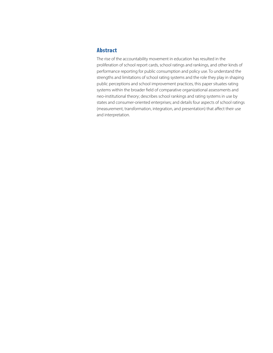#### <span id="page-3-0"></span>Abstract

The rise of the accountability movement in education has resulted in the proliferation of school report cards, school ratings and rankings, and other kinds of performance reporting for public consumption and policy use. To understand the strengths and limitations of school rating systems and the role they play in shaping public perceptions and school improvement practices, this paper situates rating systems within the broader field of comparative organizational assessments and neo-institutional theory; describes school rankings and rating systems in use by states and consumer-oriented enterprises; and details four aspects of school ratings (measurement, transformation, integration, and presentation) that affect their use and interpretation.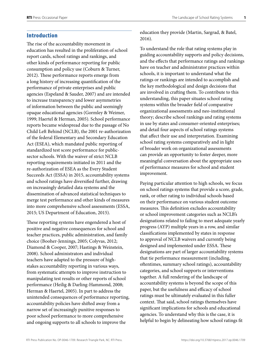#### <span id="page-4-0"></span>Introduction

The rise of the accountability movement in education has resulted in the proliferation of school report cards, school ratings and rankings, and other kinds of performance reporting for public consumption and policy use (Coburn & Turner, 2012). These performance reports emerge from a long history of increasing quantification of the performance of private enterprises and public agencies (Espeland & Sauder, 2007) and are intended to increase transparency and lower asymmetries of information between the public and seemingly opaque educational agencies (Gormley & Weimer, 1999; Haertel & Herman, 2005). School performance reports became widespread due to the passage of No Child Left Behind (NCLB), the 2001 re-authorization of the federal Elementary and Secondary Education Act (ESEA), which mandated public reporting of standardized test score performance for publicsector schools. With the waiver of strict NCLB reporting requirements initiated in 2011 and the re-authorization of ESEA as the Every Student Succeeds Act (ESSA) in 2015, accountability systems and school ratings have diversified further, drawing on increasingly detailed data systems and the dissemination of advanced statistical techniques to merge test performance and other kinds of measures into more comprehensive school assessments (ESSA, 2015; US Department of Education, 2015).

These reporting systems have engendered a host of positive and negative consequences for school and teacher practices, public administration, and family choice (Booher-Jennings, 2005; Colyvas, 2012; Diamond & Cooper, 2007; Hastings & Weinstein, 2008). School administrators and individual teachers have adapted to the pressure of highstakes accountability reporting in various ways, from systematic attempts to improve instruction to manipulating test results or other reports of school performance (Heilig & Darling-Hammond, 2008; Herman & Haertel, 2005). In part to address the unintended consequences of performance reporting, accountability policies have shifted away from a narrow set of increasingly punitive responses to poor school performance to more comprehensive and ongoing supports to all schools to improve the

education they provide (Martin, Sargrad, & Batel, 2016).

To understand the role that rating systems play in guiding accountability supports and policy decisions, and the effects that performance ratings and rankings have on teacher and administrator practices within schools, it is important to understand what the ratings or rankings are intended to accomplish and the key methodological and design decisions that are involved in crafting them. To contribute to this understanding, this paper situates school rating systems within the broader field of comparative organizational assessments and neo-institutional theory; describe school rankings and rating systems in use by states and consumer-oriented enterprises; and detail four aspects of school ratings systems that affect their use and interpretation. Examining school rating systems comparatively and in light of broader work on organizational assessments can provide an opportunity to foster deeper, more meaningful conversation about the appropriate uses of performance measures for school and student improvement.

Paying particular attention to high schools, we focus on school ratings systems that provide a score, grade, rank, or other rating to individual schools based on their performance on various student outcome measures. This definition excludes accountability or school improvement categories such as NCLB's designations related to failing to meet adequate yearly progress (AYP) multiple years in a row, and similar classifications implemented by states in response to approval of NCLB waivers and currently being designed and implemented under ESSA. These designations are part of larger accountability systems that tie performance measurement (including, oftentimes, summary school ratings), accountability categories, and school supports or interventions together. A full rendering of the landscape of accountability systems is beyond the scope of this paper, but the usefulness and efficacy of school ratings must be ultimately evaluated in this fuller context. That said, school ratings themselves have significant implications for schools and educational agencies. To understand why this is the case, it is helpful to begin by delineating how school ratings fit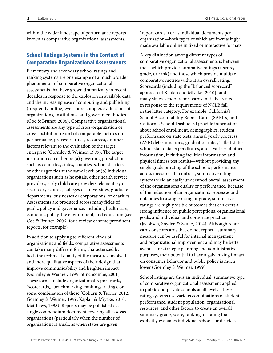<span id="page-5-0"></span>within the wider landscape of performance reports known as comparative organizational assessments.

#### School Ratings Systems in the Context of Comparative Organizational Assessments

Elementary and secondary school ratings and ranking systems are one example of a much broader phenomenon of comparative organizational assessments that have grown dramatically in recent decades in response to the explosion in available data and the increasing ease of computing and publishing (frequently online) ever more complex evaluations of organizations, institutions, and government bodies (Coe & Brunet, 2006). Comparative organizational assessments are any type of cross-organization or cross-institution report of comparable metrics on performance, processes, rules, resources, or other factors relevant to the evaluation of the target enterprise (Gormley & Weimer, 1999). The target institution can either be (a) governing jurisdictions such as countries, states, counties, school districts, or other agencies at the same level; or (b) individual organizations such as hospitals, other health service providers, early child care providers, elementary or secondary schools, colleges or universities, graduate departments, businesses or corporations, or charities. Assessments are produced across many fields of public policy and governance, including health care, economic policy, the environment, and education (see Coe & Brunet [2006] for a review of some prominent reports, for example).

In addition to applying to different kinds of organizations and fields, comparative assessments can take many different forms, characterized by both the technical quality of the measures involved and more qualitative aspects of their design that improve communicability and heighten impact (Gormley & Weimer, 1999; Stinchcombe, 2001). These forms include organizational report cards, "scorecards,," benchmarking, rankings, ratings, or some combination of these (Coburn & Turner, 2012; Gormley & Weimer, 1999; Kaplan & Miyake, 2010; Matthews, 1998). Reports may be published as a single compendium document covering all assessed organizations (particularly when the number of organizations is small, as when states are given

"report cards") or as individual documents per organization—both types of which are increasingly made available online in fixed or interactive formats.

A key distinction among different types of comparative organizational assessments is between those which provide summative ratings (a score, grade, or rank) and those which provide multiple comparative metrics without an overall rating. Scorecards (including the "balanced scorecard" approach of Kaplan and Miyake [2010]) and many states' school report cards initially created in response to the requirements of NCLB fall in the latter category. For example, California's School Accountability Report Cards (SARCs) and California School Dashboard provide information about school enrollment, demographics, student performance on state tests, annual yearly progress (AYP) determinations, graduation rates, Title I status, school staff data, expenditures, and a variety of other information, including facilities information and physical fitness test results—without providing any single grade or rating of the school's performance across measures. In contrast, summative rating systems yield an easily understood overall assessment of the organization's quality or performance. Because of the reduction of an organization's processes and outcomes to a single rating or grade, summative ratings are highly visible outcomes that can exert a strong influence on public perceptions, organizational goals, and individual and corporate practice (Jacobsen, Snyder, & Saultz, 2014). Although report cards or scorecards that do not report a summary measure can be useful for internal management and organizational improvement and may be better avenues for strategic planning and administrative purposes, their potential to have a galvanizing impact on consumer behavior and public policy is much lower (Gormley & Weimer, 1999).

School ratings are thus an individual, summative type of comparative organizational assessment applied to public and private schools at all levels. These rating systems use various combinations of student performance, student population, organizational resources, and other factors to create an overall summary grade, score, ranking, or rating that explicitly evaluates individual schools or districts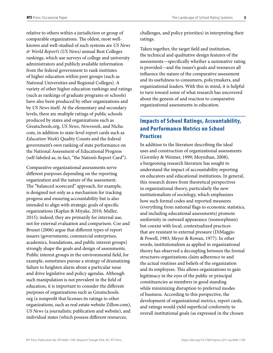<span id="page-6-0"></span>relative to others within a jurisdiction or group of comparable organizations. The oldest, most wellknown and well-studied of such systems are *US News & World Report's (US News)* annual Best Colleges rankings, which use surveys of college and university administrators and publicly available information from the federal government to rank institutes of higher education within peer groups (such as National Universities and Regional Colleges). A variety of other higher education rankings and ratings (such as rankings of graduate programs or schools) have also been produced by other organizations and by *US News* itself. At the elementary and secondary levels, there are multiple ratings of public schools produced by states and organizations such as Greatschools.org, *US News*, *Newsweek*, and Niche. com, in addition to state-level report cards such as *Education Week's* Quality Counts and the federal government's own ranking of state performance on the National Assessment of Educational Progress (self-labeled as, in fact, "the Nation's Report Card").

Comparative organizational assessments serve different purposes depending on the reporting organization and the nature of the assessment. The "balanced scorecard" approach, for example, is designed not only as a mechanism for tracking progress and ensuring accountability but is also intended to align with strategic goals of specific organizations (Kaplan & Miyake, 2010; Muller, 2015); indeed, they are primarily for internal use, not for external evaluation and comparison. Coe and Brunet (2006) argue that different types of report issuers (governments, commercial enterprises, academics, foundations, and public interest groups) strongly shape the goals and design of assessments. Public interest groups in the environmental field, for example, sometimes pursue a strategy of dramatizing failure to heighten alarm about a particular issue and drive legislative and policy agendas. Although such manipulation is not prevalent in the field of education, it is important to consider the different purposes of organizations such as Greatschools. org (a nonprofit that licenses its ratings to other organizations, such as real estate website Zillow.com), *US News* (a journalistic publication and website), and individual states (which possess different resources,

challenges, and policy priorities) in interpreting their ratings.

Taken together, the target field and institution, the technical and qualitative design features of the assessments—specifically whether a summative rating is provided—and the issuer's goals and resources all influence the nature of the comparative assessment and its usefulness to consumers, policymakers, and organizational leaders. With this in mind, it is helpful to turn toward some of what research has uncovered about the genesis of and reaction to comparative organizational assessments in education.

#### Impacts of School Ratings, Accountability, and Performance Metrics on School **Practices**

In addition to the literature describing the ideal uses and construction of organizational assessments (Gormley & Weimer, 1999; Moynihan, 2008), a burgeoning research literature has sought to understand the impact of accountability reporting on educators and educational institutions. In general, this research draws from theoretical perspectives in organizational theory, particularly the new institutionalism of sociology, which emphasizes how such formal codes and reported measures (everything from national flags to economic statistics, and including educational assessments) promote uniformity in outward appearance (isomorphism) but coexist with local, contextualized practices that are resistant to external pressure (DiMaggio & Powell, 1983; Meyer & Rowan, 1977). In other words, institutionalism as applied in organizational theory has observed a decoupling between the formal structures organizations claim adherence to and the actual routines and beliefs of the organization and its employees. This allows organizations to gain legitimacy in the eyes of the public or principal constituencies as members in good standing while minimizing disruption to preferred modes of business. According to this perspective, the development of organizational metrics, report cards, and ratings would yield superficial conformity to overall institutional goals (as expressed in the chosen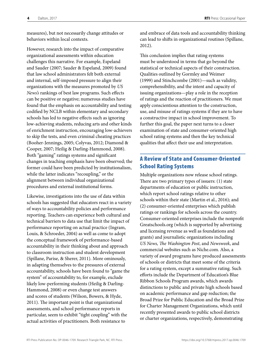<span id="page-7-0"></span>measures), but not necessarily change attitudes or behaviors within local contexts.

However, research into the impact of comparative organizational assessments within education challenges this narrative. For example, Espeland and Sauder (2007; Sauder & Espeland, 2009) found that law school administrators felt both external and internal, self-imposed pressure to align their organizations with the measures promoted by *US News's* rankings of best law programs. Such effects can be positive or negative; numerous studies have found that the emphasis on accountability and testing codified by NCLB within elementary and secondary schools has led to negative effects such as ignoring low-achieving students, reducing arts and other kinds of enrichment instruction, encouraging low-achievers to skip the tests, and even criminal cheating practices (Booher-Jennings, 2005; Colyvas, 2012; Diamond & Cooper, 2007; Heilig & Darling-Hammond, 2008). Both "gaming" ratings systems and significant changes in teaching emphasis have been observed; the former could have been predicted by institutionalism, while the latter indicates "recoupling," or the alignment between individual organizational procedures and external institutional forms.

Likewise, investigations into the use of data within schools has suggested that educators react in a variety of ways to accountability policies and performance reporting. Teachers can experience both cultural and technical barriers to data use that limit the impact of performance reporting on actual practice (Ingram, Louis, & Schroeder, 2004) as well as come to adopt the conceptual framework of performance-based accountability in their thinking about and approach to classroom instruction and student development (Spillane, Parise, & Sherer, 2011). More ominously, in adapting themselves to the pressures of external accountability, schools have been found to "game the system" of accountability to, for example, exclude likely low-performing students (Heilig & Darling-Hammond, 2008) or even change test answers and scores of students (Wilson, Bowers, & Hyde, 2011). The important point is that organizational assessments, and school performance reports in particular, seem to exhibit "tight coupling" with the actual activities of practitioners. Both resistance to

and embrace of data tools and accountability thinking can lead to shifts in organizational routines (Spillane, 2012).

This conclusion implies that rating systems must be understood in terms that go beyond the statistical or technical aspects of their construction. Qualities outlined by Gormley and Weimer (1999) and Stinchcombe (2001)—such as validity, comprehensibility, and the intent and capacity of issuing organizations—play a role in the reception of ratings and the reaction of practitioners. We must apply conscientious attention to the construction, use, and misuse of ratings systems if they are to have a constructive impact in school improvement. To further this goal, the paper next turns to a closer examination of state and consumer-oriented high school rating systems and then the key technical qualities that affect their use and interpretation.

#### A Review of State and Consumer-Oriented School Rating Systems

Multiple organizations now release school ratings. There are two primary types of issuers: (1) state departments of education or public instruction, which report school ratings relative to other schools within their state (Martin et al., 2016); and (2) consumer-oriented enterprises which publish ratings or rankings for schools across the country. Consumer-oriented enterprises include the nonprofit Greatschools.org (which is supported by advertising and licensing revenue as well as foundations and grants) and journalistic organizations including *US News, The Washington Post*, and *Newsweek*, and commercial websites such as Niche.com. Also, a variety of award programs have produced assessments of schools or districts that meet some of the criteria for a rating system, except a summative rating. Such efforts include the Department of Education's Blue Ribbon Schools Program awards, which awards distinctions to public and private high schools based on academic performance and gap reduction; the Broad Prize for Public Education and the Broad Prize for Charter Management Organizations, which until recently presented awards to public school districts or charter organizations, respectively, demonstrating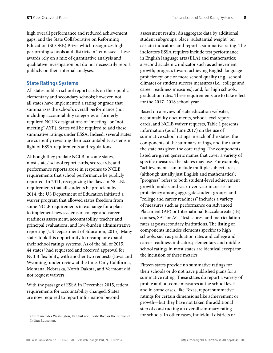<span id="page-8-0"></span>high overall performance and reduced achievement gaps; and the State Collaborative on Reforming Education (SCORE) Prize, which recognizes highperforming schools and districts in Tennessee. These awards rely on a mix of quantitative analysis and qualitative investigation but do not necessarily report publicly on their internal analyses.

#### **State Ratings Systems**

All states publish school report cards on their public elementary and secondary schools; however, not all states have implemented a rating or grade that summarizes the school's overall performance (not including accountability categories or formerly required NCLB designations of "meeting" or "not meeting" AYP). States will be required to add these summative ratings under ESSA. Indeed, several states are currently revisiting their accountability systems in light of ESSA requirements and regulations.

Although they predate NCLB in some states, most states' school report cards, scorecards, and performance reports arose in response to NCLB requirements that school performance be publicly reported. In 2011, recognizing the flaws in NCLB's requirements that all students be proficient by 2014, the US Department of Education initiated a waiver program that allowed states freedom from some NCLB requirements in exchange for a plan to implement new systems of college and career readiness assessment, accountability, teacher and principal evaluations, and low-burden administrative reporting (US Department of Education, 2015). Many states took this opportunity to revamp or expand their school ratings systems. As of the fall of 2015, 44 states<sup>1</sup> had requested and received approval for NCLB flexibility, with another two requests (Iowa and Wyoming) under review at the time. Only California, Montana, Nebraska, North Dakota, and Vermont did not request waivers.

With the passage of ESSA in December 2015, federal requirements for accountability changed. States are now required to report information beyond

assessment results; disaggregate data by additional student subgroups; place "substantial weight" on certain indicators; and report a summative rating. The indicators ESSA requires include test performance in English language arts (ELA) and mathematics; a second academic indicator such as achievement growth; progress toward achieving English language proficiency; one or more school quality (e.g., school climate) or student success measures (i.e., college and career readiness measures); and, for high schools, graduation rates. These requirements are to take effect for the 2017–2018 school year.

Based on a review of state education websites, accountability documents, school-level report cards, and NCLB waiver requests, Table 1 presents information (as of June 2017) on the use of summative school ratings in each of the states, the components of the summary ratings, and the name the state has given the core rating. The components listed are given generic names that cover a variety of specific measures that states may use. For example, "achievement" can include multiple subject areas (although usually just English and mathematics); "progress" refers to both student-level achievement growth models and year-over-year increases in proficiency among aggregate student groups; and "college and career readiness" includes a variety of measures such as performance on Advanced Placement (AP) or International Baccalaureate (IB) courses, SAT or ACT test scores, and matriculation rates at postsecondary institutions. The listing of components includes elements specific to high schools, such as graduation rates and college and career readiness indicators; elementary and middle school ratings in most states are identical except for the inclusion of these metrics.

Fifteen states provide no summative ratings for their schools or do not have published plans for a summative rating. These states do report a variety of profile and outcome measures at the school level and in some cases, like Texas, report summative ratings for certain dimensions like achievement or growth—but they have not taken the additional step of constructing an overall summary rating <sup>1</sup> Count includes Washington, DC, but not Puerto Rico or the Bureau of **for schools. In other cases, individual districts or** 

Indian Education.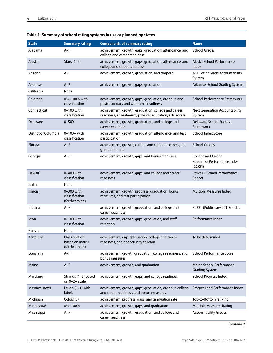| <b>State</b>           | <b>Summary rating</b>                              | <b>Components of summary rating</b>                                                                            | <b>Name</b>                                                         |
|------------------------|----------------------------------------------------|----------------------------------------------------------------------------------------------------------------|---------------------------------------------------------------------|
| Alabama                | $A-F$                                              | achievement, growth, gaps, graduation, attendance, and<br>college and career readiness                         | <b>School Grades</b>                                                |
| Alaska                 | Stars $(1-5)$                                      | achievement, growth, gaps, graduation, attendance, and<br>college and career readiness                         | Alaska School Performance<br>Index                                  |
| Arizona                | $A-F$                                              | achievement, growth, graduation, and dropout                                                                   | A-F Letter Grade Accountability<br>System                           |
| Arkansas               | $A-F$                                              | achievement, growth, gaps, graduation                                                                          | Arkansas School Grading System                                      |
| California             | None                                               |                                                                                                                |                                                                     |
| Colorado               | 0%-100% with<br>classification                     | achievement, growth, gaps, graduation, dropout, and<br>postsecondary and workforce readiness                   | <b>School Performance Framework</b>                                 |
| Connecticut            | $0-100$ with<br>classification                     | achievement, growth, graduation, college and career<br>readiness, absenteeism, physical education, arts access | <b>Next Generation Accountability</b><br>System                     |
| Delaware               | $0 - 500$                                          | achievement, growth, graduation, and college and<br>career readiness                                           | <b>Delaware School Success</b><br>Framework                         |
| District of Columbia   | $0 - 100 + \text{with}$<br>classification          | achievement, growth, graduation, attendance, and test<br>participation                                         | <b>School Index Score</b>                                           |
| Florida                | $A-F$                                              | achievement, growth, college and career readiness, and<br>graduation rate                                      | <b>School Grades</b>                                                |
| Georgia                | $A-F$                                              | achievement, growth, gaps, and bonus measures                                                                  | <b>College and Career</b><br>Readiness Performance Index<br>(CCRPI) |
| Hawaii <sup>1</sup>    | 0-400 with<br>classification                       | achievement, growth, gaps, and college and career<br>readiness                                                 | <b>Strive HI School Performance</b><br>Report                       |
| Idaho                  | None                                               |                                                                                                                |                                                                     |
| Illinois               | 0-300 with<br>classification<br>(forthcoming)      | achievement, growth, progress, graduation, bonus<br>measures, and test participation                           | <b>Multiple Measures Index</b>                                      |
| Indiana                | A-F                                                | achievement, growth, graduation, and college and<br>career readiness                                           | PL221 (Public Law 221) Grades                                       |
| lowa                   | $0-100$ with<br>classification                     | achievement, growth, gaps, graduation, and staff<br>retention                                                  | Performance Index                                                   |
| Kansas                 | None                                               |                                                                                                                |                                                                     |
| Kentucky <sup>2</sup>  | Classification<br>based on matrix<br>(forthcoming) | achievement, gap, graduation, college and career<br>readiness, and opportunity to learn                        | To be determined                                                    |
| Louisiana              | $\mathsf{A}\mathsf{-}\mathsf{F}$                   | achievement, growth graduation, college readiness, and<br>bonus measures                                       | School Performance Score                                            |
| Maine                  | $A-F$                                              | achievement, growth, and graduation                                                                            | Maine School Performance<br><b>Grading System</b>                   |
| Maryland <sup>1</sup>  | Strands (1-5) based<br>on $0-2+$ scale             | achievement, growth, gaps, and college readiness                                                               | School Progress Index                                               |
| Massachusetts          | Levels $(5-1)$ with<br>labels                      | achievement, growth, gaps, graduation, dropout, college<br>and career readiness, and bonus measures            | Progress and Performance Index                                      |
| Michigan               | Colors (5)                                         | achievement, progress, gaps, and graduation rate                                                               | Top-to-Bottom ranking                                               |
| Minnesota <sup>2</sup> | 0%-100%                                            | achievement, growth, gaps, and graduation                                                                      | <b>Multiple Measures Rating</b>                                     |
| Mississippi            | $A-F$                                              | achievement, growth, graduation, and college and<br>career readiness                                           | <b>Accountability Grades</b>                                        |

#### **Table 1. Summary of school rating systems in use or planned by states**

*(continued)*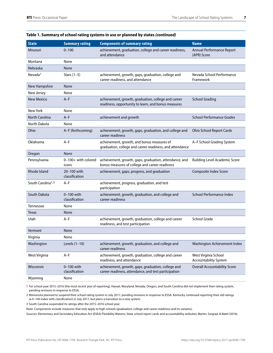| <b>State</b>                  | <b>Summary rating</b>          | <b>Components of summary rating</b>                                                                        | <b>Name</b>                                          |
|-------------------------------|--------------------------------|------------------------------------------------------------------------------------------------------------|------------------------------------------------------|
| <b>Missouri</b>               | $0 - 100$                      | achievement, graduation, college and career readiness,<br>and attendance                                   | Annual Performance Report<br>(APR) Score             |
| Montana                       | None                           |                                                                                                            |                                                      |
| <b>Nebraska</b>               | None                           |                                                                                                            |                                                      |
| Nevada <sup>1</sup>           | Stars $(1-5)$                  | achievement, growth, gaps, graduation, college and<br>career readiness, and attendance                     | Nevada School Performance<br>Framework               |
| New Hampshire                 | None                           |                                                                                                            |                                                      |
| New Jersey                    | None                           |                                                                                                            |                                                      |
| <b>New Mexico</b>             | $A-F$                          | achievement, growth, graduation, college and career<br>readiness, opportunity to learn, and bonus measures | <b>School Grading</b>                                |
| New York                      | None                           |                                                                                                            |                                                      |
| North Carolina                | $A-F$                          | achievement and growth                                                                                     | <b>School Performance Grades</b>                     |
| North Dakota                  | None                           |                                                                                                            |                                                      |
| Ohio                          | A-F (forthcoming)              | achievement, growth, gaps, graduation, and college and<br>career readiness                                 | <b>Ohio School Report Cards</b>                      |
| Oklahoma                      | $A-F$                          | achievement, growth, and bonus measures of<br>graduation, college and career readiness, and attendance     | A-F School Grading System                            |
| Oregon                        | None                           |                                                                                                            |                                                      |
| Pennsylvania                  | 0-100+ with colored<br>icons   | achievement, growth, gaps, graduation, attendance, and<br>bonus measures of college and career readiness   | <b>Building Level Academic Score</b>                 |
| Rhode Island                  | 20-100 with<br>classification  | achievement, gaps, progress, and graduation                                                                | Composite Index Score                                |
| South Carolina <sup>1,3</sup> | $A-F$                          | achievement, progress, graduation, and test<br>participation                                               |                                                      |
| South Dakota                  | $0-100$ with<br>classification | achievement, growth, graduation, and college and<br>career readiness                                       | School Performance Index                             |
| <b>Tennessee</b>              | None                           |                                                                                                            |                                                      |
| Texas                         | None                           |                                                                                                            |                                                      |
| Utah                          | $A-F$                          | achievement, growth, graduation, college and career<br>readiness, and test participation                   | School Grade                                         |
| Vermont                       | None                           |                                                                                                            |                                                      |
| Virginia                      | None                           |                                                                                                            |                                                      |
| Washington                    | Levels $(1-10)$                | achievement, growth, graduation, and college and<br>career readiness                                       | Washington Achievement Index                         |
| West Virginia                 | $A-F$                          | achievement, growth, graduation, college and career<br>readiness, and attendance                           | West Virginia School<br><b>Accountability System</b> |
| Wisconsin                     | 0-100 with<br>classification   | achievement, growth, gaps, graduation, college and<br>career readiness, attendance, and test participation | <b>Overall Accountability Score</b>                  |
| Wyoming                       | None                           |                                                                                                            |                                                      |

#### **Table 1. Summary of school rating systems in use or planned by states** *(continued)*

1 For school year 2015–2016 (the most recent year of reporting), Hawaii, Maryland, Nevada, Oregon, and South Carolina did not implement their rating system, pending revisions in response to ESSA.

2 Minnesota planned to suspend their school rating system in July 2017, pending revisions in response to ESSA. Kentucky continued reporting their old ratings (a 0–100 index with classification) in July 2017, but plans a transition to a new system.

3 South Carolina suspended its ratings after the 2015–2016 school year.

Note: Components include measures that only apply to high schools (graduation; college and career readiness and its variants).

Sources: Elementary and Secondary Education Act (ESEA) Flexibility Waivers; State school report cards and accountability websites; Martin, Sargrad, & Batel (2016).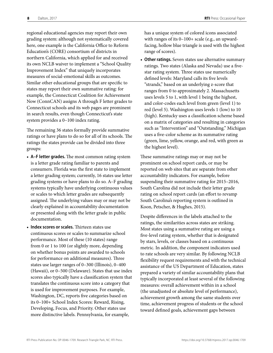regional educational agencies may report their own grading system: although not systematically covered here, one example is the California Office to Reform Education's (CORE) consortium of districts in northern California, which applied for and received its own NCLB waiver to implement a "School Quality Improvement Index" that uniquely incorporates measures of social-emotional skills as outcomes. Similar other educational groups that are specific to states may report their own summative rating: for example, the Connecticut Coalition for Achievement Now (ConnCAN) assigns A through F letter grades to Connecticut schools and its web pages are prominent in search results, even though Connecticut's state system provides a 0–100 index rating.

The remaining 36 states formally provide summative ratings or have plans to do so for all of its schools. The ratings the states provide can be divided into three groups:

- **A–F letter grades.** The most common rating system is a letter grade rating familiar to parents and consumers. Florida was the first state to implement a letter grading system; currently, 16 states use letter grading systems or have plans to do so. A–F grading systems typically have underlying continuous values or scales to which letter grades are subsequently assigned. The underlying values may or may not be clearly explained in accountability documentation or presented along with the letter grade in public documentation.
- **Index scores or scales.** Thirteen states use continuous scores or scales to summarize school performance. Most of these (10 states) range from 0 or 1 to 100 (or slightly more, depending on whether bonus points are awarded to schools for performance on additional measures). Three states use larger ranges of 0–300 (Illinois), 0–400 (Hawaii), or 0–500 (Delaware). States that use index scores also typically have a classification system that translates the continuous score into a category that is used for improvement purposes. For example, Washington, DC, reports five categories based on its 0–100+ School Index Scores: Reward, Rising, Developing, Focus, and Priority. Other states use more distinctive labels. Pennsylvania, for example,

has a unique system of colored icons associated with ranges of its 0–100+ scale (e.g., an upwardfacing, hollow blue triangle is used with the highest range of scores).

• **Other ratings.** Seven states use alternative summary ratings. Two states (Alaska and Nevada) use a fivestar rating system. Three states use numerically defined levels: Maryland calls its five levels "strands," based on an underlying z-score that ranges from 0 to approximately 2. Massachusetts uses levels 5 to 1, with level 1 being the highest, and color-codes each level from green (level 1) to red (level 5). Washington uses levels 1 (low) to 10 (high). Kentucky uses a classification scheme based on a matrix of categories and resulting in categories such as "Intervention" and "Outstanding." Michigan uses a five-color scheme as its summative rating (green, lime, yellow, orange, and red, with green as the highest level).

These summative ratings may or may not be prominent on school report cards, or may be reported on web sites that are separate from other accountability indicators. For example, before suspending their summative rating for 2015–2016, South Carolina did not include their letter grade rating on school report cards (an effort to revamp South Carolina's reporting system is outlined in Koon, Petscher, & Hughes, 2015).

Despite differences in the labels attached to the ratings, the similarities across states are striking. Most states using a summative rating are using a five-level rating system, whether that is designated by stars, levels, or classes based on a continuous metric. In addition, the component indicators used to rate schools are very similar. By following NCLB flexibility request requirements and with the technical assistance of the US Department of Education, states prepared a variety of similar accountability plans that typically incorporated at least several of the following measures: overall achievement within in a school (the unadjusted or absolute level of performance), achievement growth among the same students over time, achievement progress of students or the school toward defined goals, achievement gaps between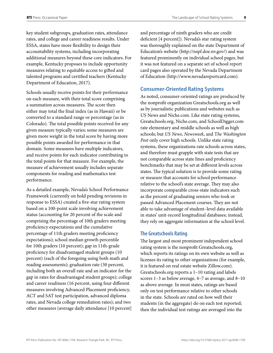<span id="page-12-0"></span>key student subgroups, graduation rates, attendance rates, and college and career readiness results. Under ESSA, states have more flexibility to design their accountability systems, including incorporating additional measures beyond these core indicators. For example, Kentucky proposes to include opportunity measures relating to equitable access to gifted and talented programs and certified teachers (Kentucky Department of Education, 2017).

Schools usually receive points for their performance on each measure, with their total score comprising a summation across measures. The score then either may total the final index (as in Hawaii) or be converted to a standard range or percentage (as in Colorado). The total possible points received for any given measure typically varies; some measures are given more weight in the total score by having more possible points awarded for performance in that domain. Some measures have multiple indicators, and receive points for each indicator contributing to the total points for that measure. For example, the measure of achievement usually includes separate components for reading and mathematics test performance.

As a detailed example, Nevada's School Performance Framework (currently on hold pending revisions in response to ESSA) created a five-star rating system based on a 100-point scale involving achievement status (accounting for 20 percent of the scale and comprising the percentage of 10th graders meeting proficiency expectations and the cumulative percentage of 11th graders meeting proficiency expectations); school median growth percentile for 10th graders (10 percent); gap in 11th-grade proficiency for disadvantaged student groups (10 percent) (each of the foregoing using both math and reading assessments); graduation rate (30 percent, including both an overall rate and an indicator for the gap in rates for disadvantaged student groups); college and career readiness (16 percent, using four different measures involving Advanced Placement proficiency, ACT and SAT test participation, advanced diploma rates, and Nevada college remediation rates); and two other measures (average daily attendance [10 percent]

and percentage of ninth graders who are credit deficient [4 percent]). Nevada's star rating system was thoroughly explained on the state Department of Education's website (http://nspf.doe.nv.gov/) and was featured prominently on individual school pages, but it was not featured on a separate set of school report card pages also operated by the Nevada Department of Education (<http://www.nevadareportcard.com>).

#### **Consumer-Oriented Rating Systems**

As noted, consumer-oriented ratings are produced by the nonprofit organization Greatschools.org as well as by journalistic publications and websites such as US News and Niche.com. Like state rating systems, Greatschools.org, Niche.com, and SchoolDigger.com rate elementary and middle schools as well as high schools; but *US News*, *Newsweek*, and T*he Washington Post* only cover high schools. Unlike state rating systems, these organizations rate schools across states, and therefore must grapple with state tests that are not comparable across state lines and proficiency benchmarks that may be set at different levels across states. The typical solution is to provide some rating or measure that accounts for school performance relative to the school's state average. They may also incorporate comparable cross-state indicators such as the percent of graduating seniors who took or passed Advanced Placement courses. They are not able to take advantage of student–level data available in states' unit-record longitudinal databases; instead, they rely on aggregate information at the school level.

#### **The Greatschools Rating**

The largest and most prominent independent school rating system is the nonprofit Greatschools.org, which reports its ratings on its own website as well as licenses its rating to other organizations (for example, it is featured on real estate website Zillow.com). Greatschools.org reports a 1–10 rating and labels scores 1–3 as below average, 4–7 as average, and 8–10 as above average. In most states, ratings are based only on test performance relative to other schools in the state. Schools are rated on how well their students (in the aggregate) do on each test reported; then the individual test ratings are averaged into the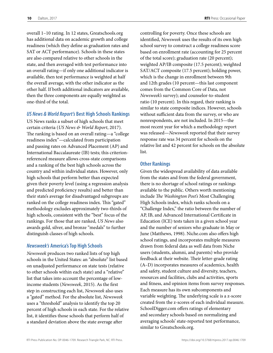overall 1–10 rating. In 12 states, Greatschools.org has additional data on academic growth and college readiness (which they define as graduation rates and SAT or ACT performance). Schools in these states are also compared relative to other schools in the state, and then averaged with test performance into an overall rating—if only one additional indicator is available, then test performance is weighted at half the overall average, with the other indicator as the other half. If both additional indicators are available, then the three components are equally weighted as one-third of the total.

#### *US News & World Report's* **Best High Schools Rankings**

US News ranks a subset of high schools that meet certain criteria (*US News & World Report*, 2017). The ranking is based on an overall rating—a "college readiness index"—calculated from participation and passing rates on Advanced Placement (AP) and International Baccalaureate (IB) tests; this criterionreferenced measure allows cross-state comparisons and a ranking of the best high schools across the country and within individual states. However, only high schools that perform better than expected given their poverty level (using a regression analysis and predicted proficiency results) and better than their state's average for disadvantaged subgroups are ranked on the college readiness index. This "gated" methodology excludes approximately two-thirds of high schools, consistent with the "best" focus of the rankings. For those that are ranked, *US News* also awards gold, silver, and bronze "medals" to further distinguish classes of high schools.

#### *Newsweek's* **America's Top High Schools**

*Newsweek* produces two ranked lists of top high schools in the United States: an "absolute" list based on unadjusted performance on state tests (relative to other schools within each state) and a "relative" list that takes into account the percentage of lowincome students (*Newsweek*, 2015). As the first step in constructing each list, *Newsweek* also uses a "gated" method. For the absolute list, *Newsweek* uses a "threshold" analysis to identify the top 20 percent of high schools in each state. For the relative list, it identifies those schools that perform half of a standard deviation above the state average after

controlling for poverty. Once these schools are identified, *Newsweek* uses the results of its own high school survey to construct a college readiness score based on enrollment rate (accounting for 25 percent of the total score); graduation rate (20 percent); weighted AP/IB composite (17.5 percent); weighted SAT/ACT composite (17.5 percent); holding power, which is the change in enrollment between 9th and 12th grades (10 percent—this last component comes from the Common Core of Data, not *Newsweek's* survey); and counselor-to-student ratio (10 percent). In this regard, their ranking is similar to state composite indices. However, schools without sufficient data from the survey, or who are nonrespondents, are not included. In 2015—the most recent year for which a methodology report was released—*Newsweek* reported that their survey response rate was 34 percent for schools on the relative list and 42 percent for schools on the absolute list.

#### **Other Rankings**

Given the widespread availability of data available from the states and from the federal government, there is no shortage of school ratings or rankings available to the public. Others worth mentioning include *The Washington Post's* Most Challenging High Schools index, which ranks schools on a "Challenge Index," the ratio between the number of AP, IB, and Advanced International Certificate in Education (ICE) tests taken in a given school year and the number of seniors who graduate in May or June (Matthews, 1998). Niche.com also offers high school ratings, and incorporates multiple measures drawn from federal data as well data from Niche users (students, alumni, and parents) who provide feedback at their website. Their letter-grade rating (A–D) incorporates measures of academics, health and safety, student culture and diversity, teachers, resources and facilities, clubs and activities, sports and fitness, and opinion items from survey responses. Each measure has its own subcomponents and variable weighting. The underlying scale is a z-score created from the z-scores of each individual measure. SchoolDigger.com offers ratings of elementary and secondary schools based on normalizing and averaging schools' state-reported test performance, similar to Greatschools.org.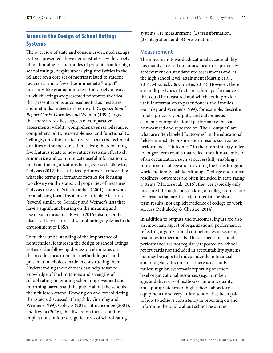#### <span id="page-14-0"></span>Issues in the Design of School Ratings Systems

The overview of state and consumer-oriented ratings systems presented above demonstrates a wide variety of methodologies and modes of presentation for high school ratings, despite underlying similarities in the reliance on a core set of metrics related to student test scores and a few other immediate "output" measures like graduation rates. The variety of ways in which ratings are presented reinforces the idea that presentation is as consequential as measures and methods. Indeed, in their work *Organizational Report Cards*, Gormley and Weimer (1999) argue that there are six key aspects of comparative assessments: validity, comprehensiveness, relevance, comprehensibility, reasonableness, and functionality. Tellingly, only the first feature relates to the technical qualities of the measures themselves; the remaining five features relate to how ratings systems effectively summarize and communicate useful information to or about the organizations being assessed. Likewise, Colyvas (2012) has criticized prior work concerning what she terms performance metrics for focusing too closely on the statistical properties of measures. Colyvas draws on Stinchcombe's (2001) framework for analyzing formal systems to articulate features (several similar to Gormley and Weimer's list) that have a significant bearing on the meaning and use of such measures. Reyna (2016) also recently discussed key features of school ratings systems in the environment of ESSA.

To further understanding of the importance of nontechnical features in the design of school ratings systems, the following discussion elaborates on the broader measurement, methodological, and presentation choices made in constructing them. Understanding these choices can help advance knowledge of the limitations and strengths of school ratings in guiding school improvement and informing parents and the public about the schools their children attend. Drawing on and consolidating the aspects discussed at length by Gormley and Weimer (1999), Colyvas (2012), Stinchcombe (2001), and Reyna (2016), the discussion focuses on the implications of four design features of school rating

systems: (1) measurement, (2) transformation, (3) integration, and (4) presentation.

#### **Measurement**

The movement toward educational accountability has mainly stressed outcomes measures: primarily achievement on standardized assessments and, at the high school level, attainment (Martin et al., 2016; Mikulecky & Christie, 2014). However, there are multiple types of data on school performance that could be measured and which could provide useful information to practitioners and families. Gormley and Weimer (1999), for example, describe inputs, processes, outputs, and outcomes as elements of organizational performance that can be measured and reported on. Their "outputs" are what are often labeled "outcomes" in the educational field—immediate or short-term results such as test performance. "Outcomes," in their terminology, refer to longer-term results that reflect the ultimate mission of an organization, such as successfully enabling a transition to college and providing the basis for good work and family habits. Although "college and career readiness" outcomes are often included in state rating systems (Martin et al., 2016), they are typically only measured through coursetaking or college admissions test results that are, in fact, immediate or shortterm results, not explicit evidence of college or work success (Mikulecky & Christie, 2014).

In addition to outputs and outcomes, inputs are also an important aspect of organizational performance, reflecting organizational competencies in securing resources to meet needs. These aspects of school performance are not regularly reported on school report cards nor included in accountability systems, but may be reported independently in financial and budgetary documents. There is certainly far less regular, systematic reporting of schoollevel organizational resources (e.g., number, age, and diversity of textbooks; amount, quality, and appropriateness of high school laboratory equipment), and very little attention has been paid to how to achieve consistency in reporting on and informing the public about school resources.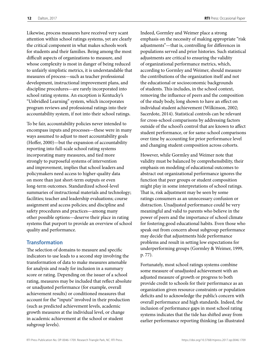<span id="page-15-0"></span>Likewise, process measures have received very scant attention within school ratings systems, yet are clearly the critical component in what makes schools work for students and their families. Being among the most difficult aspects of organizations to measure, and whose complexity is most in danger of being reduced to unfairly simplistic metrics, it is understandable that measures of process—such as teacher professional development, instructional improvement plans, and discipline procedures—are rarely incorporated into school rating systems. An exception is Kentucky's "Unbridled Learning" system, which incorporates program reviews and professional ratings into their accountability system, if not into their school ratings.

To be fair, accountability policies never intended to encompass inputs and processes—these were in many ways assumed to adjust to meet accountability goals (Hoffer, 2000)—but the expansion of accountability reporting into full-scale school rating systems incorporating many measures, and tied more strongly to purposeful systems of intervention and improvement, implies that school leaders and policymakers need access to higher-quality data on more than just short-term outputs or even long-term outcomes. Standardized school-level summaries of instructional materials and technology; facilities; teacher and leadership evaluations; course assignment and access policies; and discipline and safety procedures and practices—among many other possible options—deserve their place in rating systems that purport to provide an overview of school quality and performance.

#### **Transformation**

The selection of domains to measure and specific indicators to use leads to a second step involving the transformation of data to make measures amenable for analysis and ready for inclusion in a summary score or rating. Depending on the issuer of a school rating, measures may be included that reflect absolute or unadjusted performance (for example, overall achievement results) or conditioned measures that account for the "inputs" involved in their production (such as predicted achievement levels, academic growth measures at the individual level, or change in academic achievement at the school or student subgroup levels).

Indeed, Gormley and Weimer place a strong emphasis on the necessity of making appropriate "risk adjustments"—that is, controlling for differences in populations served and prior histories. Such statistical adjustments are critical to ensuring the validity of organizational performance metrics, which, according to Gormley and Weimer, should measure the contributions of the organization itself and not the educational or socioeconomic backgrounds of students. This includes, in the school context, removing the influence of peers and the composition of the study body, long shown to have an effect on individual student achievement (Wilkinson, 2002; Sacerdote, 2014). Statistical controls can be relevant for cross-school comparisons by addressing factors outside of the school's control that are known to affect student performance, or for same-school comparisons over time by accounting for prior performance level and changing student composition across cohorts.

However, while Gormley and Weimer note that validity must be balanced by comprehensibility, their emphasis on modeling of educational outcomes to abstract out organizational performance ignores the function that peer groups or student composition might play in some interpretations of school ratings. That is, risk adjustment may be seen by some ratings consumers as an unnecessary confusion or distraction. Unadjusted performance could be very meaningful and valid to parents who believe in the power of peers and the importance of school climate for fostering good educational habits. Even those who speak out from concern about subgroup performance may decide that adjustments hide performance problems and result in setting low expectations for underperforming groups (Gormley & Weimer, 1999, p. 77).

Fortunately, most school ratings systems combine some measure of unadjusted achievement with an adjusted measure of growth or progress to both provide credit to schools for their performance as an organization given resource constraints or population deficits and to acknowledge the public's concern with overall performance and high standards. Indeed, the inclusion of performance gaps in most school rating systems indicates that the tide has shifted away from earlier performance reporting thinking (as illustrated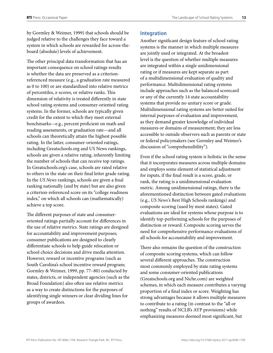<span id="page-16-0"></span>by Gormley & Weimer, 1999) that schools should be judged relative to the challenges they face toward a system in which schools are rewarded for across-theboard (absolute) levels of achievement.

The other principal data transformation that has an important consequence on school ratings results is whether the data are preserved as a criterionreferenced measure (e.g., a graduation rate measured as 0 to 100) or are standardized into relative metrics of percentiles, z-scores, or relative ranks. This dimension of relativity is treated differently in state school rating systems and consumer-oriented rating systems. In the former, schools are typically given credit for the extent to which they meet external benchmarks—e.g., percent proficient on math and reading assessments, or graduation rate—and all schools can theoretically attain the highest possible rating. In the latter, consumer-oriented ratings, including Greatschools.org and US News rankings, schools are given a relative rating, inherently limiting the number of schools that can receive top ratings. In Greatschools.org's case, schools are rated relative to others in the state on their final letter grade rating. In the *US News* rankings, schools are given a final ranking nationally (and by state) but are also given a criterion-referenced score on its "college readiness index," on which all schools can (mathematically) achieve a top score.

The different purposes of state and consumeroriented ratings partially account for differences in the use of relative metrics. State ratings are designed for accountability and improvement purposes; consumer publications are designed to clearly differentiate schools to help guide relocation or school choice decisions and drive media attention. However, reward or incentive programs (such as South Carolina's school incentive reward program; Gormley & Weimer, 1999, pp. 77–80) conducted by states, districts, or independent agencies (such as the Broad Foundation) also often use relative metrics as a way to create distinctions for the purposes of identifying single winners or clear dividing lines for groups of awardees.

#### **Integration**

Another significant design feature of school rating systems is the manner in which multiple measures are jointly used or integrated. At the broadest level is the question of whether multiple measures are integrated within a single unidimensional rating or if measures are kept separate as part of a multidimensional evaluation of quality and performance. Multidimensional rating systems include approaches such as the balanced scorecard or any of the currently 14 state accountability systems that provide no unitary score or grade. Multidimensional rating systems are better suited for internal purposes of evaluation and improvement, as they demand greater knowledge of individual measures or domains of measurement; they are less accessible to outside observers such as parents or state or federal policymakers (see Gormley and Weimer's discussion of "comprehensibility").

Even if the school rating system is holistic in the sense that it incorporates measures across multiple domains and employs some element of statistical adjustment for inputs, if the final result is a score, grade, or rank, the rating is a unidimensional evaluation metric. Among unidimensional ratings, there is the aforementioned distinction between gated evaluations (e.g., *US News'*s Best High Schools rankings) and composite scoring (used by most states). Gated evaluations are ideal for systems whose purpose is to identify top-performing schools for the purposes of distinction or reward. Composite scoring serves the need for comprehensive performance evaluations of all schools for accountability and improvement.

There also remains the question of the construction of composite scoring systems, which can follow several different approaches. The construction most commonly employed by state rating systems and some consumer-oriented publications (Greatschools.org and Niche.com) are weighted schemes, in which each measure contributes a varying proportion of a final index or score. Weighting has strong advantages because it allows multiple measures to contribute to a rating (in contrast to the "all or nothing" results of NCLB's AYP provisions) while emphasizing measures deemed most significant, but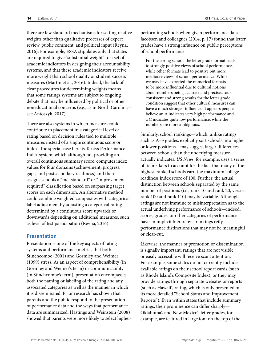<span id="page-17-0"></span>**14** Dalton, 2017 **RTI** Press: Occasional Paper

there are few standard mechanisms for setting relative weights other than qualitative processes of expert review, public comment, and political input (Reyna, 2016). For example, ESSA stipulates only that states are required to give "substantial weight" to a set of academic indicators in designing their accountability systems, and that these academic indicators receive more weight than school quality or student success measures (Martin et al., 2016). Indeed, the lack of clear procedures for determining weights means that some ratings systems are subject to ongoing debate that may be influenced by political or other noneducational concerns (e.g., as in North Carolina see Antoszyk, 2017).

There are also systems in which measures could contribute to placement in a categorical level or rating based on decision rules tied to multiple measures instead of a single continuous score or index. The special case here is Texas's Performance Index system, which although not providing an overall continuous summary score, computes index values for four domains (achievement, progress, gaps, and postsecondary readiness) and then assigns schools a "met standard" or "improvement required" classification based on surpassing target scores on each dimension. An alternative method could combine weighted composites with categorical label adjustment by adjusting a categorical rating determined by a continuous score upwards or downwards depending on additional measures, such as level of test participation (Reyna, 2016).

#### **Presentation**

Presentation is one of the key aspects of rating systems and performance metrics that both Stinchcombe (2001) and Gormley and Weimer (1999) stress. As an aspect of comprehensibility (in Gormley and Weimer's term) or communicability (in Stinchcombe's term), presentation encompasses both the naming or labeling of the rating and any associated categories as well as the manner in which it is disseminated. Prior research has shown that parents and the public respond to the presentation of performance data and the ways that performance data are summarized. Hastings and Weinstein (2008) showed that parents were more likely to select higher-

performing schools when given performance data. Jacobsen and colleagues (2014, p. 17) found that letter grades have a strong influence on public perceptions of school performance:

For the strong school, the letter grade format leads to strongly positive views of school performance, while other formats lead to positive but more mediocre views of school performance. While we may have expected the numerical formats to be more influential due to cultural notions about numbers being accurate and precise…our consistent and strong results for the letter grade condition suggest that other cultural measures can have a much stronger influence. It appears people believe an A indicates very high performance and a C indicates quite low performance, while the numbers are more ambiguous.

Similarly, school rankings—which, unlike ratings such as A–F grades, explicitly sort schools into higher or lower positions—may suggest larger differences between schools than the underlying measure actually indicates. *US News*, for example, uses a series of tiebreakers to account for the fact that many of the highest-ranked schools earn the maximum college readiness index score of 100. Further, the actual distinction between schools separated by the same number of positions (i.e., rank 10 and rank 20, versus rank 100 and rank 110) may be variable. Although ratings are not immune to misinterpretation as to the actual underlying performance of schools—indeed, scores, grades, or other categories of performance have an implicit hierarchy—rankings reify performance distinctions that may not be meaningful or clear-cut.

Likewise, the manner of promotion or dissemination is signally important; ratings that are not visible or easily accessible will receive scant attention. For example, some states do not currently include available ratings on their school report cards (such as Rhode Island's Composite Index); or they may provide ratings through separate websites or reports (such as Hawaii's rating, which is only presented on its more detailed "School Status and Improvement Reports"). Even within states that include summary ratings, their prominence can differ sharply— Oklahoma's and New Mexico's letter grades, for example, are featured in large font on the top of the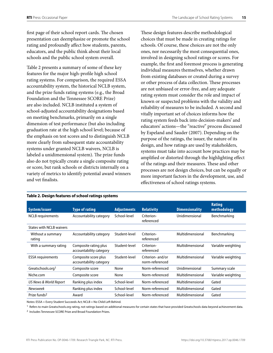first page of their school report cards. The chosen presentation can deemphasize or promote the school rating and profoundly affect how students, parents, educators, and the public think about their local schools and the public school system overall.

Table 2 presents a summary of some of these key features for the major high-profile high school rating systems. For comparison, the required ESSA accountability system, the historical NCLB system, and the prize funds rating systems (e.g., the Broad Foundation and the Tennessee SCORE Prize) are also included. NCLB instituted a system of school-adjusted accountability designations based on meeting benchmarks, primarily on a single dimension of test performance (but also including graduation rate at the high school level; because of the emphasis on test scores and to distinguish NCLB more clearly from subsequent state accountability systems under granted NCLB waivers, NCLB is labeled a unidimensional system). The prize funds also do not typically create a single composite rating or score, but rank schools or districts internally on a variety of metrics to identify potential award winners and vet finalists.

These design features describe methodological choices that must be made in creating ratings for schools. Of course, these choices are not the only ones, nor necessarily the most consequential ones, involved in designing school ratings or scores. For example, the first and foremost process is generating individual measures themselves, whether drawn from existing databases or created during a survey or other process of data collection. These processes are not unbiased or error-free, and any adequate rating system must consider the role and impact of known or suspected problems with the validity and reliability of measures to be included. A second and vitally important set of choices informs how the rating system feeds back into decision-makers' and educators' actions—the "reactive" process discussed by Espeland and Sauder (2007). Depending on the purpose of the ratings, the issuer, the nature of its design, and how ratings are used by stakeholders, systems must take into account how practices may be amplified or distorted through the highlighting effect of the ratings and their measures. These and other processes are not design choices, but can be equally or more important factors in the development, use, and effectiveness of school ratings systems.

| System/issuer                   | <b>Type of rating</b>                            | <b>Adjustments</b> | <b>Relativity</b>                    | <b>Dimensionality</b> | <b>Rating</b><br>methodology |
|---------------------------------|--------------------------------------------------|--------------------|--------------------------------------|-----------------------|------------------------------|
| <b>NCLB</b> requirements        | Accountability category                          | School-level       | Criterion-<br>referenced             | Unidimensional        | Benchmarking                 |
| <b>States with NCLB waivers</b> |                                                  |                    |                                      |                       |                              |
| Without a summary<br>rating     | Accountability category                          | Student-level      | Criterion-<br>referenced             | Multidimensional      | Benchmarking                 |
| With a summary rating           | Composite rating plus<br>accountability category | Student-level      | Criterion-<br>referenced             | Multidimensional      | Variable weighting           |
| <b>ESSA</b> requirements        | Composite score plus<br>accountability category  | Student-level      | Criterion- and/or<br>norm-referenced | Multidimensional      | Variable weighting           |
| Greatschools.org <sup>1</sup>   | Composite score                                  | None               | Norm-referenced                      | Unidimensional        | Summary scale                |
| Niche.com                       | Composite score                                  | None               | Norm-referenced                      | Multidimensional      | Variable weighting           |
| US News & World Report          | Ranking plus index                               | School-level       | Norm-referenced                      | Multidimensional      | Gated                        |
| Newsweek                        | Ranking plus index                               | School-level       | Norm-referenced                      | Multidimensional      | Gated                        |
| Prize funds <sup>2</sup>        | Award                                            | School-level       | Norm-referenced                      | Multidimensional      | Gated                        |
|                                 |                                                  |                    |                                      |                       |                              |

#### **Table 2. Design features of school ratings systems**

Notes: ESSA = Every Student Succeeds Act; NCLB = No Child Left Behind.

<sup>1</sup> Refers to main Greatschools.org rating, not ratings based on additional measures for certain states that have provided Greatschools data beyond achievement data.

2 Includes Tennessee SCORE Prize and Broad Foundation Prizes.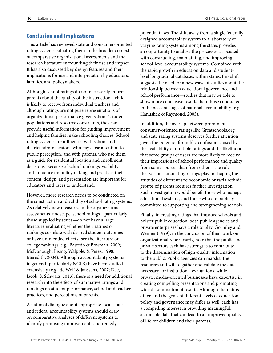#### <span id="page-19-0"></span>Conclusion and Implications

This article has reviewed state and consumer-oriented rating systems, situating them in the broader context of comparative organizational assessments and the research literature surrounding their use and impact. It has also discussed key design features and their implications for use and interpretation by educators, families, and policymakers.

Although school ratings do not necessarily inform parents about the quality of the instruction a child is likely to receive from individual teachers and although ratings are not pure representations of organizational performance given schools' student populations and resource constraints, they can provide useful information for guiding improvement and helping families make schooling choices. School rating systems are influential with school and district administrators, who pay close attention to public perception, and with parents, who use them as a guide for residential location and enrollment decisions. Because of school rankings' visibility and influence on policymaking and practice, their content, design, and presentation are important for educators and users to understand.

However, more research needs to be conducted on the construction and validity of school rating systems. As relatively new measures in the organizational assessments landscape, school ratings—particularly those supplied by states—do not have a large literature evaluating whether their ratings or rankings correlate with desired student outcomes or have unintended effects (see the literature on college rankings, e.g., Bastedo & Bowman, 2009; McDonough, Lising, Walpole, & Perez, 1998; Meredith, 2004). Although accountability systems in general (particularly NCLB) have been studied extensively (e.g., de Wolf & Janssens, 2007; Dee, Jacob, & Schwarz, 2013), there is a need for additional research into the effects of summative ratings and rankings on student performance, school and teacher practices, and perceptions of parents.

A national dialogue about appropriate local, state and federal accountability systems should draw on comparative analyses of different systems to identify promising improvements and remedy

potential flaws. The shift away from a single federally designed accountability system to a laboratory of varying rating systems among the states provides an opportunity to analyze the processes associated with constructing, maintaining, and improving school-level accountability systems. Combined with the rapid growth in education data and studentlevel longitudinal databases within states, this shift suggests the need for a new wave of studies about the relationship between educational governance and school performance—studies that may be able to show more conclusive results than those conducted in the nascent stages of national accountability (e.g., Hanushek & Raymond, 2005).

In addition, the overlap between prominent consumer-oriented ratings like Greatschools.org and state rating systems deserves further attention, given the potential for public confusion caused by the availability of multiple ratings and the likelihood that some groups of users are more likely to receive their impressions of school performance and quality from some sources than from others. The role that various circulating ratings play in shaping the attitudes of different socioeconomic or racial/ethnic groups of parents requires further investigation. Such investigation would benefit those who manage educational systems, and those who are publicly committed to supporting and strengthening schools.

Finally, in creating ratings that improve schools and bolster public education, both public agencies and private enterprises have a role to play. Gormley and Weimer (1999), in the conclusion of their work on organizational report cards, note that the public and private sectors each have strengths to contribute to the dissemination of high-quality information to the public. Public agencies can marshal the resources and will to gather and validate the data necessary for institutional evaluations, while private, media-oriented businesses have expertise in creating compelling presentations and promoting wide dissemination of results. Although their aims differ, and the goals of different levels of educational policy and governance may differ as well, each has a compelling interest in providing meaningful, actionable data that can lead to an improved quality of life for children and their parents.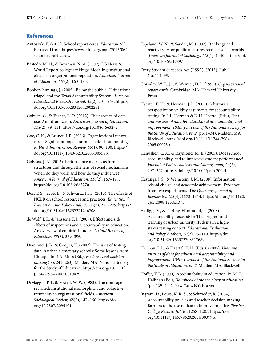#### <span id="page-20-0"></span>**References**

- Antoszyk, E. (2017). School report cards. *Education NC*. Retrieved from [https://www.ednc.org/map/2015/06/](https://www.ednc.org/map/2015/06/school-report-cards/) [school-report-cards/](https://www.ednc.org/map/2015/06/school-report-cards/)
- Bastedo, M. N., & Bowman, N. A. (2009). US News & World Report college rankings: Modeling institutional effects on organizational reputation. *American Journal of Education, 116*(2), 163–183.
- Booher-Jennings, J. (2005). Below the bubble: "Educational triage" and the Texas Accountability System. *American Educational Research Journal, 42*(2), 231–268. [https://](https://doi.org/10.3102/00028312042002231 ) [doi.org/10.3102/00028312042002231](https://doi.org/10.3102/00028312042002231 )
- Coburn, C., & Turner, E. O. (2012). The practice of data use: An introduction. *American Journal of Education, 118*(2), 99–111.<https://doi.org/10.1086/663272>
- Coe, C. K., & Brunet, J. R. (2006). Organizational report cards: Significant impact or much ado about nothing? *Public Administration Review, 66*(1), 90–100. [https://](https://doi.org/10.1111/j.1540-6210.2006.00558.x) [doi.org/10.1111/j.1540-6210.2006.00558.x](https://doi.org/10.1111/j.1540-6210.2006.00558.x)
- Colyvas, J. A. (2012). Performance metrics as formal structures and through the lens of social mechanisms: When do they work and how do they influence? *American Journal of Education, 118*(2), 167–197. <https://doi.org/10.1086/663270>
- Dee, T. S., Jacob, B., & Schwartz, N. L. (2013). The effects of NCLB on school resources and practices. *Educational Evaluation and Policy Analysis, 35*(2), 252–279. [https://](https://doi.org/10.3102/0162373712467080) [doi.org/10.3102/0162373712467080](https://doi.org/10.3102/0162373712467080)
- de Wolf, I. F., & Janssens, F. J. (2007). Effects and side effects of inspections and accountability in education: An overview of empirical studies. *Oxford Review of Education, 33*(3), 379–396.
- Diamond, J. B., & Cooper, K. (2007). The uses of testing data in urban elementary schools: Some lessons from Chicago. In P. A. Moss (Ed.), *Evidence and decision making* (pp. 241–263). Malden, MA: National Society for the Study of Education. [https://doi.org/10.1111/](https://doi.org/10.1111/j.1744-7984.2007.00104.x) [j.1744-7984.2007.00104.x](https://doi.org/10.1111/j.1744-7984.2007.00104.x)
- DiMaggio, P. J., & Powell, W. W. (1983). The iron cage revisited: Institutional isomorphism and collective rationality in organizational fields. *American Sociological Review, 48*(2), 147–160. [https://doi.](https://doi.org/10.2307/2095101) [org/10.2307/2095101](https://doi.org/10.2307/2095101)
- Espeland, W. N., & Sauder, M. (2007). Rankings and reactivity: How public measures recreate social worlds. *American Journal of Sociology, 113*(1), 1–40. [https://doi.](https://doi.org/10.1086/517897) [org/10.1086/517897](https://doi.org/10.1086/517897)
- Every Student Succeeds Act (ESSA). (2015). Pub. L. No. 114–95.
- Gormley, W. T., Jr., & Weimer, D. L. (1999). *Organizational report cards*. Cambridge, MA: Harvard University Press.
- Haertel, E. H., & Herman, J. L. (2005). A historical perspective on validity arguments for accountability testing. In J. L. Herman & E. H. Haertel (Eds.), *Uses and misuses of data for educational accountability and improvement: 104th yearbook of the National Society for the Study of Education, pt. 2* (pp. 1–34). Malden, MA: Blackwell. [https://doi.org/10.1111/j.1744-7984.](https://doi.org/10.1111/j.1744-7984.2005.00023.x)  [2005.00023.x](https://doi.org/10.1111/j.1744-7984.2005.00023.x)
- Hanushek, E. A., & Raymond, M. E. (2005). Does school accountability lead to improved student performance? *Journal of Policy Analysis and Management, 24*(2), 297–327. <https://doi.org/10.1002/pam.20091>
- Hastings, J. S., & Weinstein, J. M. (2008). Information, school choice, and academic achievement: Evidence from two experiments. T*he Quarterly Journal of Economics, 123*(4), 1373–1414. [https://doi.org/10.1162/](https://doi.org/10.1162/qjec.2008.123.4.1373) [qjec.2008.123.4.1373](https://doi.org/10.1162/qjec.2008.123.4.1373)
- Heilig, J. V., & Darling-Hammond, L. (2008). Accountability Texas-style: The progress and learning of urban minority students in a highstakes testing context. *Educational Evaluation and Policy Analysis, 30*(2), 75–110. [https://doi.](https://doi.org/10.3102/0162373708317689) [org/10.3102/0162373708317689](https://doi.org/10.3102/0162373708317689)
- Herman, J. L., & Haertel, E. H. (Eds.). (2005). *Uses and misuses of data for educational accountability and improvement: 104th yearbook of the National Society for the Study of Education, pt. 2*. Malden, MA: Blackwell.
- Hoffer, T. B. (2000). Accountability in education. In M. T. Hallinan (Ed.), *Handbook of the sociology of education* (pp. 529–544). New York, NY: Kluwer.
- Ingram, D., Louis, K. R. S., & Schroeder, R. (2004). Accountability policies and teacher decision making: Barriers to the use of data to improve practice. *Teachers College Record, 106*(6), 1258–1287. [https://doi.](https://doi.org/10.1111/j.1467-9620.2004.00379.x) [org/10.1111/j.1467-9620.2004.00379.x](https://doi.org/10.1111/j.1467-9620.2004.00379.x)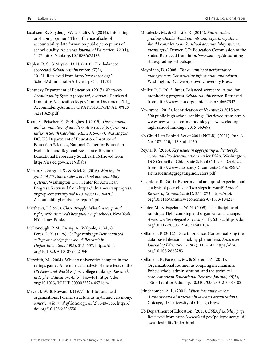- Jacobsen, R., Snyder, J. W., & Saultz, A. (2014). Informing or shaping opinion? The influence of school accountability data format on public perceptions of school quality. *American Journal of Education, 121*(1), 1–27. <https://doi.org/10.1086/678136>
- Kaplan, R. S., & Miyake, D. N. (2010). The balanced scorecard. *School Administrator, 67*(2), 10–21. Retrieved from [http://www.aasa.org/](http://www.aasa.org/SchoolAdministratorArticle.aspx?id=11784) [SchoolAdministratorArticle.aspx?id=11784](http://www.aasa.org/SchoolAdministratorArticle.aspx?id=11784)
- Kentucky Department of Education. (2017). *Kentucky Accountability System (proposed) overview*. Retrieved from [https://education.ky.gov/comm/Documents/III\\_](https://education.ky.gov/comm/Documents/III_AccountabilitySummaryDRAFT013117FINAL_0%20%281%29.pdf) [AccountabilitySummaryDRAFT013117FINAL\\_0%20](https://education.ky.gov/comm/Documents/III_AccountabilitySummaryDRAFT013117FINAL_0%20%281%29.pdf) [%281%29.pdf](https://education.ky.gov/comm/Documents/III_AccountabilitySummaryDRAFT013117FINAL_0%20%281%29.pdf)
- Koon, S., Petscher, Y., & Hughes, J. (2015). *Development and examination of an alternative school performance index in South Carolina (REL 2015–097)*. Washington, DC: US Department of Education, Institute of Education Sciences, National Center for Education Evaluation and Regional Assistance, Regional Educational Laboratory Southeast. Retrieved from <https://ies.ed.gov/ncee/edlabs>
- Martin, C., Sargrad, S., & Batel, S. (2016). *Making the grade: A 50-state analysis of school accountability systems*. Washington, DC: Center for American Progress. Retrieved from [https://cdn.americanprogress.](https://cdn.americanprogress.org/wp-content/uploads/2016/05/17094420/AccountabilityLandscape-report2.pdf) [org/wp-content/uploads/2016/05/17094420/](https://cdn.americanprogress.org/wp-content/uploads/2016/05/17094420/AccountabilityLandscape-report2.pdf) [AccountabilityLandscape-report2](https://cdn.americanprogress.org/wp-content/uploads/2016/05/17094420/AccountabilityLandscape-report2.pdf).pdf
- Matthews, J. (1998). *Class struggle: What's wrong (and right) with America's best public high schools*. New York, NY: Times Books.
- McDonough, P. M., Lising, A., Walpole, A. M., & Perez, L. X. (1998). *College rankings: Democratized college knowledge for whom? Research in Higher Education, 39*(5), 513–537. [https://doi.](https://doi.org/10.1023/A:1018797521946) [org/10.1023/A:1018797521946](https://doi.org/10.1023/A:1018797521946)
- Meredith, M. (2004). Why do universities compete in the ratings game? An empirical analysis of the effects of the *US News and World Report* college rankings. *Research in Higher Education, 45*(5), 443–461. [https://doi.](https://doi.org/10.1023/B:RIHE.0000032324.46716.f4) [org/10.1023/B:RIHE.0000032324.46716.f4](https://doi.org/10.1023/B:RIHE.0000032324.46716.f4)
- Meyer, J. W., & Rowan, B. (1977). Institutionalized organizations: Formal structure as myth and ceremony. *American Journal of Sociology, 83*(2), 340–363. [https://](https://doi.org/10.1086/226550) [doi.org/10.1086/226550](https://doi.org/10.1086/226550)
- Mikulecky, M., & Christie, K. (2014). *Rating states, grading schools: What parents and experts say states should consider to make school accountability systems meaningful*. Denver, CO: Education Commission of the States. Retrieved from [http://www.ecs.org/docs/rating](http://www.ecs.org/docs/rating-states,grading-schools.pdf )[states,grading-schools.pdf](http://www.ecs.org/docs/rating-states,grading-schools.pdf )
- Moynihan, D. (2008). *The dynamics of performance management: Constructing information and reform*. Washington, DC: Georgetown University Press.
- Muller, R. J. (2015, June). Balanced scorecard: A tool for monitoring progress. *School Administrator*. Retrieved from<http://www.aasa.org/content.aspx?id=37342>
- *Newsweek*. (2015). Identification of *Newsweek's* 2015 top 500 public high school rankings. Retrieved from [http://](http://www.newsweek.com/methodology-newsweeks-top-high-school-rankings-2015-363698) [www.newsweek.com/methodology-newsweeks-top](http://www.newsweek.com/methodology-newsweeks-top-high-school-rankings-2015-363698)[high-school-rankings-2015-363698](http://www.newsweek.com/methodology-newsweeks-top-high-school-rankings-2015-363698)
- No Child Left Behind Act of 2001 (NCLB). (2001). Pub. L. No. 107–110, 115 Stat. 1460.
- Reyna, R. (2016). *Key issues in aggregating indicators for accountability determinations under ESSA.* Washington, DC: Council of Chief State School Officers. Retrieved from [http://www.ccsso.org/Documents/2016/ESSA/](http://www.ccsso.org/Documents/2016/ESSA/KeyIssuesinAggregatingIndicators.pdf) [KeyIssuesinAggregatingIndicators.pdf](http://www.ccsso.org/Documents/2016/ESSA/KeyIssuesinAggregatingIndicators.pdf)
- Sacerdote, B. (2014). Experimental and quasi-experimental analysis of peer effects: Two steps forward? *Annual Review of Economics, 6*(1), 253–272. [https://doi.](https://doi.org/10.1146/annurev-economics-071813-104217) [org/10.1146/annurev-economics-071813-104217](https://doi.org/10.1146/annurev-economics-071813-104217)
- Sauder, M., & Espeland, W. N. (2009). The discipline of rankings: Tight coupling and organizational change. *American Sociological Review, 74*(1), 63–82. [https://doi.](https://doi.org/10.1177/000312240907400104) [org/10.1177/000312240907400104](https://doi.org/10.1177/000312240907400104)
- Spillane, J. P. (2012). Data in practice: Conceptualizing the data-based decision-making phenomena. *American Journal of Education, 118*(2), 113–141. [https://doi.](https://doi.org/10.1086/663283) [org/10.1086/663283](https://doi.org/10.1086/663283)
- Spillane, J. P., Parise, L. M., & Sherer, J. Z. (2011). Organizational routines as coupling mechanisms: Policy, school administration, and the technical core. *American Educational Research Journal, 48*(3), 586–619. <https://doi.org/10.3102/0002831210385102>
- Stinchcombe, A. L. (2001). *When formality works: Authority and abstraction in law and organizations*. Chicago, IL: University of Chicago Press.
- US Department of Education. (2015). *ESEA flexibility page*. Retrieved from [https://www2.ed.gov/policy/elsec/guid/](https://www2.ed.gov/policy/elsec/guid/esea-flexibility/index.html) [esea-flexibility/index.html](https://www2.ed.gov/policy/elsec/guid/esea-flexibility/index.html)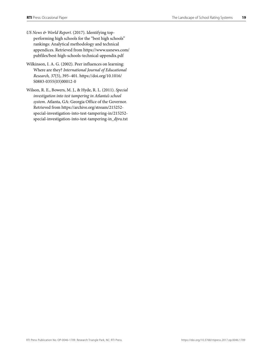- *US News & World Report*. (2017). Identifying topperforming high schools for the "best high schools" rankings: Analytical methodology and technical appendices. Retrieved from [https://www.usnews.com/](https://www.usnews.com/pubfiles/best-high-schools-technical-appendix.pdf) [pubfiles/best-high-schools-technical-appendix.pdf](https://www.usnews.com/pubfiles/best-high-schools-technical-appendix.pdf)
- Wilkinson, I. A. G. (2002). Peer influences on learning: Where are they? *International Journal of Educational Research, 37*(5), 395–401. [https://doi.org/10.1016/](https://doi.org/10.1016/S0883-0355(03)00012-0) [S0883-0355\(03\)00012-0](https://doi.org/10.1016/S0883-0355(03)00012-0)
- Wilson, R. E., Bowers, M. J., & Hyde, R. L. (2011). *Special investigation into test tampering in Atlanta's school system*. Atlanta, GA: Georgia Office of the Governor. Retrieved from [https://archive.org/stream/215252](https://archive.org/stream/215252-special-investigation-into-test-tampering-in/215252-special-investigation-into-test-tampering-in_djvu.txt) [special-investigation-into-test-tampering-in/215252](https://archive.org/stream/215252-special-investigation-into-test-tampering-in/215252-special-investigation-into-test-tampering-in_djvu.txt) [special-investigation-into-test-tampering-in\\_djvu.txt](https://archive.org/stream/215252-special-investigation-into-test-tampering-in/215252-special-investigation-into-test-tampering-in_djvu.txt)